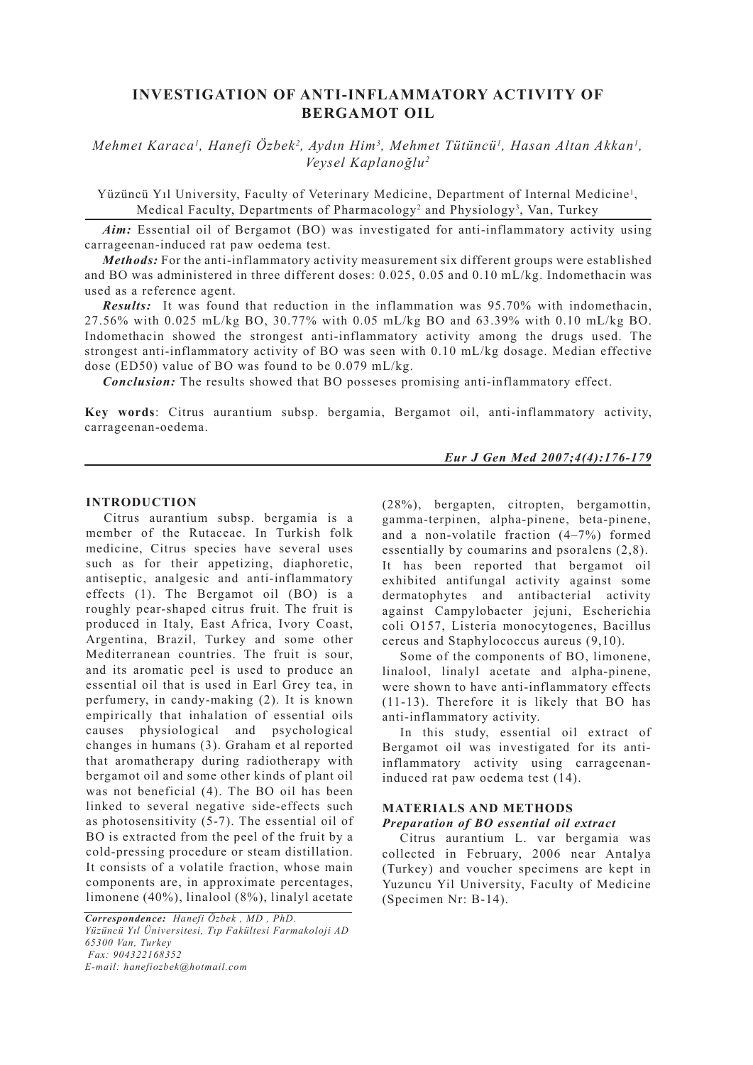# **INVESTIGATION OF ANTI-INFLAMMATORY ACTIVITY OF BERGAMOT OIL**

*Mehmet Karaca<sup>l</sup>, Hanefi Özbek<sup>2</sup>, Aydın Him<sup>3</sup>, Mehmet Tütüncü<sup>l</sup>, Hasan Altan Akkan<sup>1</sup>, Veysel Kaplanoğlu2*

Yüzüncü Yıl University, Faculty of Veterinary Medicine, Department of Internal Medicine1 , Medical Faculty, Departments of Pharmacology<sup>2</sup> and Physiology<sup>3</sup>, Van, Turkey

*Aim:* Essential oil of Bergamot (BO) was investigated for anti-inflammatory activity using carrageenan-induced rat paw oedema test.

*Methods:* For the anti-inflammatory activity measurement six different groups were established and BO was administered in three different doses: 0.025, 0.05 and 0.10 mL/kg. Indomethacin was used as a reference agent.

*Results:* It was found that reduction in the inflammation was 95.70% with indomethacin, 27.56% with 0.025 mL/kg BO, 30.77% with 0.05 mL/kg BO and 63.39% with 0.10 mL/kg BO. Indomethacin showed the strongest anti-inflammatory activity among the drugs used. The strongest anti-inflammatory activity of BO was seen with 0.10 mL/kg dosage. Median effective dose (ED50) value of BO was found to be 0.079 mL/kg.

*Conclusion:* The results showed that BO posseses promising anti-inflammatory effect.

**Key words**: Citrus aurantium subsp. bergamia, Bergamot oil, anti-inflammatory activity, carrageenan-oedema.

#### *Eur J Gen Med 2007;4(4):176-179*

#### **INTRODUCTION**

Citrus aurantium subsp. bergamia is a member of the Rutaceae. In Turkish folk medicine, Citrus species have several uses such as for their appetizing, diaphoretic, antiseptic, analgesic and anti-inflammatory effects (1). The Bergamot oil (BO) is a roughly pear-shaped citrus fruit. The fruit is produced in Italy, East Africa, Ivory Coast, Argentina, Brazil, Turkey and some other Mediterranean countries. The fruit is sour, and its aromatic peel is used to produce an essential oil that is used in Earl Grey tea, in perfumery, in candy-making (2). It is known empirically that inhalation of essential oils causes physiological and psychological changes in humans (3). Graham et al reported that aromatherapy during radiotherapy with bergamot oil and some other kinds of plant oil was not beneficial (4). The BO oil has been linked to several negative side-effects such as photosensitivity (5-7). The essential oil of BO is extracted from the peel of the fruit by a cold-pressing procedure or steam distillation. It consists of a volatile fraction, whose main components are, in approximate percentages, limonene (40%), linalool (8%), linalyl acetate

*Correspondence: Hanefi Özbek , MD , PhD. Yüzüncü Yıl Üniversitesi, Tıp Fakültesi Farmakoloji AD 65300 Van, Turkey Fax: 904322168352 E-mail: hanefiozbek@hotmail.com*

(28%), bergapten, citropten, bergamottin, gamma-terpinen, alpha-pinene, beta-pinene, and a non-volatile fraction (4–7%) formed essentially by coumarins and psoralens (2,8). It has been reported that bergamot oil exhibited antifungal activity against some dermatophytes and antibacterial activity against Campylobacter jejuni, Escherichia coli O157, Listeria monocytogenes, Bacillus cereus and Staphylococcus aureus (9,10).

Some of the components of BO, limonene, linalool, linalyl acetate and alpha-pinene, were shown to have anti-inflammatory effects (11-13). Therefore it is likely that BO has anti-inflammatory activity.

In this study, essential oil extract of Bergamot oil was investigated for its antiinflammatory activity using carrageenaninduced rat paw oedema test (14).

# **MATERIALS AND METHODS**

# *Preparation of BO essential oil extract*

Citrus aurantium L. var bergamia was collected in February, 2006 near Antalya (Turkey) and voucher specimens are kept in Yuzuncu Yil University, Faculty of Medicine (Specimen Nr: B-14).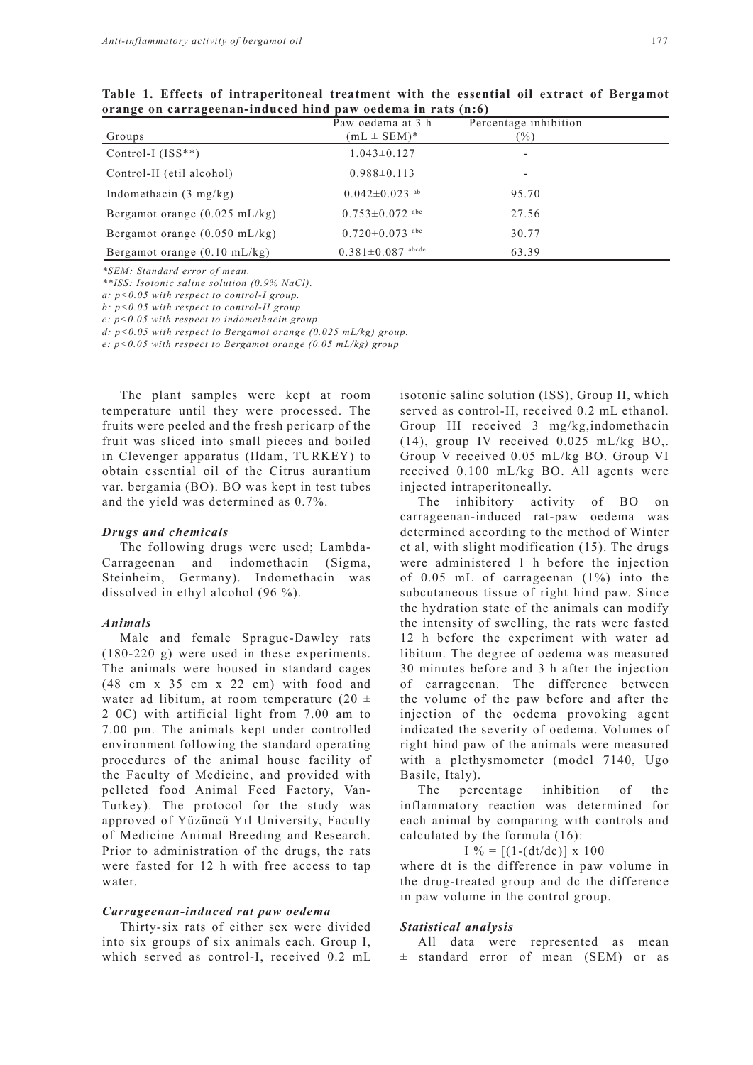|                                         | Paw oedema at 3 h               | Percentage inhibition |  |
|-----------------------------------------|---------------------------------|-----------------------|--|
| Groups                                  | $mL \pm SEM$ <sup>*</sup>       | $\frac{9}{6}$         |  |
| Control-I $(ISS**)$                     | $1.043 \pm 0.127$               |                       |  |
| Control-II (etil alcohol)               | $0.988 \pm 0.113$               | ۰                     |  |
| Indomethacin $(3 \text{ mg/kg})$        | $0.042 \pm 0.023$ <sup>ab</sup> | 95.70                 |  |
| Bergamot orange $(0.025 \text{ mL/kg})$ | $0.753 \pm 0.072$ abc           | 27.56                 |  |
| Bergamot orange $(0.050 \text{ mL/kg})$ | $0.720 \pm 0.073$ abc           | 30.77                 |  |
| Bergamot orange $(0.10 \text{ mL/kg})$  | $0.381 \pm 0.087$ abcde         | 63.39                 |  |

**Table 1. Effects of intraperitoneal treatment with the essential oil extract of Bergamot orange on carrageenan-induced hind paw oedema in rats (n:6)**

*\*SEM: Standard error of mean.*

*\*\*ISS: Isotonic saline solution (0.9% NaCl).*

*a: p<0.05 with respect to control-I group.*

*b: p<0.05 with respect to control-II group.*

*c: p<0.05 with respect to indomethacin group.*

*d: p<0.05 with respect to Bergamot orange (0.025 mL/kg) group.*

*e: p<0.05 with respect to Bergamot orange (0.05 mL/kg) group*

The plant samples were kept at room temperature until they were processed. The fruits were peeled and the fresh pericarp of the fruit was sliced into small pieces and boiled in Clevenger apparatus (Ildam, TURKEY) to obtain essential oil of the Citrus aurantium var. bergamia (BO). BO was kept in test tubes and the yield was determined as 0.7%.

#### *Drugs and chemicals*

The following drugs were used; Lambda-Carrageenan and indomethacin (Sigma, Steinheim, Germany). Indomethacin was dissolved in ethyl alcohol (96 %).

## *Animals*

Male and female Sprague-Dawley rats (180-220 g) were used in these experiments. The animals were housed in standard cages (48 cm x 35 cm x 22 cm) with food and water ad libitum, at room temperature (20  $\pm$ 2 0C) with artificial light from 7.00 am to 7.00 pm. The animals kept under controlled environment following the standard operating procedures of the animal house facility of the Faculty of Medicine, and provided with pelleted food Animal Feed Factory, Van-Turkey). The protocol for the study was approved of Yüzüncü Yıl University, Faculty of Medicine Animal Breeding and Research. Prior to administration of the drugs, the rats were fasted for 12 h with free access to tap water.

## *Carrageenan-induced rat paw oedema*

Thirty-six rats of either sex were divided into six groups of six animals each. Group I, which served as control-I, received 0.2 mL isotonic saline solution (ISS), Group II, which served as control-II, received 0.2 mL ethanol. Group III received 3 mg/kg,indomethacin (14), group IV received 0.025 mL/kg BO,. Group V received 0.05 mL/kg BO. Group VI received 0.100 mL/kg BO. All agents were injected intraperitoneally.

The inhibitory activity of BO on carrageenan-induced rat-paw oedema was determined according to the method of Winter et al, with slight modification (15). The drugs were administered 1 h before the injection of 0.05 mL of carrageenan (1%) into the subcutaneous tissue of right hind paw. Since the hydration state of the animals can modify the intensity of swelling, the rats were fasted 12 h before the experiment with water ad libitum. The degree of oedema was measured 30 minutes before and 3 h after the injection of carrageenan. The difference between the volume of the paw before and after the injection of the oedema provoking agent indicated the severity of oedema. Volumes of right hind paw of the animals were measured with a plethysmometer (model 7140, Ugo Basile, Italy).

The percentage inhibition of the inflammatory reaction was determined for each animal by comparing with controls and calculated by the formula (16):

 $I\% = [(1-(dt/dc))] \times 100$ 

where dt is the difference in paw volume in the drug-treated group and dc the difference in paw volume in the control group.

## *Statistical analysis*

All data were represented as mean  $\pm$  standard error of mean (SEM) or as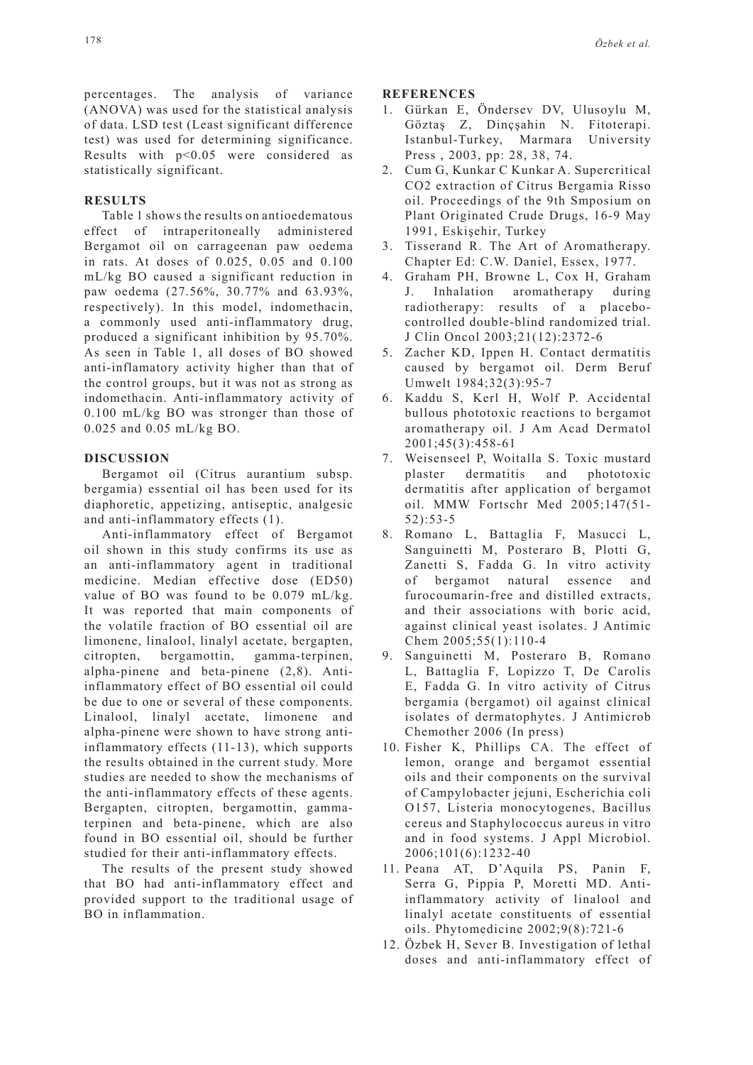percentages. The analysis of variance (ANOVA) was used for the statistical analysis of data. LSD test (Least significant difference test) was used for determining significance. Results with p<0.05 were considered as statistically significant.

# **RESULTS**

Table 1 shows the results on antioedematous effect of intraperitoneally administered Bergamot oil on carrageenan paw oedema in rats. At doses of 0.025, 0.05 and 0.100 mL/kg BO caused a significant reduction in paw oedema (27.56%, 30.77% and 63.93%, respectively). In this model, indomethacin, a commonly used anti-inflammatory drug, produced a significant inhibition by 95.70%. As seen in Table 1, all doses of BO showed anti-inflamatory activity higher than that of the control groups, but it was not as strong as indomethacin. Anti-inflammatory activity of 0.100 mL/kg BO was stronger than those of 0.025 and 0.05 mL/kg BO.

## **DISCUSSION**

Bergamot oil (Citrus aurantium subsp. bergamia) essential oil has been used for its diaphoretic, appetizing, antiseptic, analgesic and anti-inflammatory effects (1).

Anti-inflammatory effect of Bergamot oil shown in this study confirms its use as an anti-inflammatory agent in traditional medicine. Median effective dose (ED50) value of BO was found to be 0.079 mL/kg. It was reported that main components of the volatile fraction of BO essential oil are limonene, linalool, linalyl acetate, bergapten, citropten, bergamottin, gamma-terpinen, alpha-pinene and beta-pinene (2,8). Antiinflammatory effect of BO essential oil could be due to one or several of these components. Linalool, linalyl acetate, limonene and alpha-pinene were shown to have strong antiinflammatory effects (11-13), which supports the results obtained in the current study. More studies are needed to show the mechanisms of the anti-inflammatory effects of these agents. Bergapten, citropten, bergamottin, gammaterpinen and beta-pinene, which are also found in BO essential oil, should be further studied for their anti-inflammatory effects.

The results of the present study showed that BO had anti-inflammatory effect and provided support to the traditional usage of BO in inflammation.

#### **REFERENCES**

- 1. Gürkan E, Öndersev DV, Ulusoylu M, Göztaş Z, Dinçşahin N. Fitoterapi. Istanbul-Turkey, Marmara University Press , 2003, pp: 28, 38, 74.
- 2. Cum G, Kunkar C Kunkar A. Supercritical CO2 extraction of Citrus Bergamia Risso oil. Proceedings of the 9th Smposium on Plant Originated Crude Drugs, 16-9 May 1991, Eskişehir, Turkey
- 3. Tisserand R. The Art of Aromatherapy. Chapter Ed: C.W. Daniel, Essex, 1977.
- 4. Graham PH, Browne L, Cox H, Graham J. Inhalation aromatherapy during radiotherapy: results of a placebocontrolled double-blind randomized trial. J Clin Oncol 2003;21(12):2372-6
- 5. Zacher KD, Ippen H. Contact dermatitis caused by bergamot oil. Derm Beruf Umwelt 1984;32(3):95-7
- 6. Kaddu S, Kerl H, Wolf P. Accidental bullous phototoxic reactions to bergamot aromatherapy oil. J Am Acad Dermatol 2001;45(3):458-61
- 7. Weisenseel P, Woitalla S. Toxic mustard plaster dermatitis and phototoxic dermatitis after application of bergamot oil. MMW Fortschr Med 2005;147(51- 52):53-5
- 8. Romano L, Battaglia F, Masucci L, Sanguinetti M, Posteraro B, Plotti G, Zanetti S, Fadda G. In vitro activity of bergamot natural essence and furocoumarin-free and distilled extracts, and their associations with boric acid, against clinical yeast isolates. J Antimic Chem 2005;55(1):110-4
- 9. Sanguinetti M, Posteraro B, Romano L, Battaglia F, Lopizzo T, De Carolis E, Fadda G. In vitro activity of Citrus bergamia (bergamot) oil against clinical isolates of dermatophytes. J Antimicrob Chemother 2006 (In press)
- 10. Fisher K, Phillips CA. The effect of lemon, orange and bergamot essential oils and their components on the survival of Campylobacter jejuni, Escherichia coli O157, Listeria monocytogenes, Bacillus cereus and Staphylococcus aureus in vitro and in food systems. J Appl Microbiol. 2006;101(6):1232-40
- 11. Peana AT, D'Aquila PS, Panin F, Serra G, Pippia P, Moretti MD. Antiinflammatory activity of linalool and linalyl acetate constituents of essential oils. Phytomedicine 2002;9(8):721-6
- 12. Özbek H, Sever B. Investigation of lethal doses and anti-inflammatory effect of